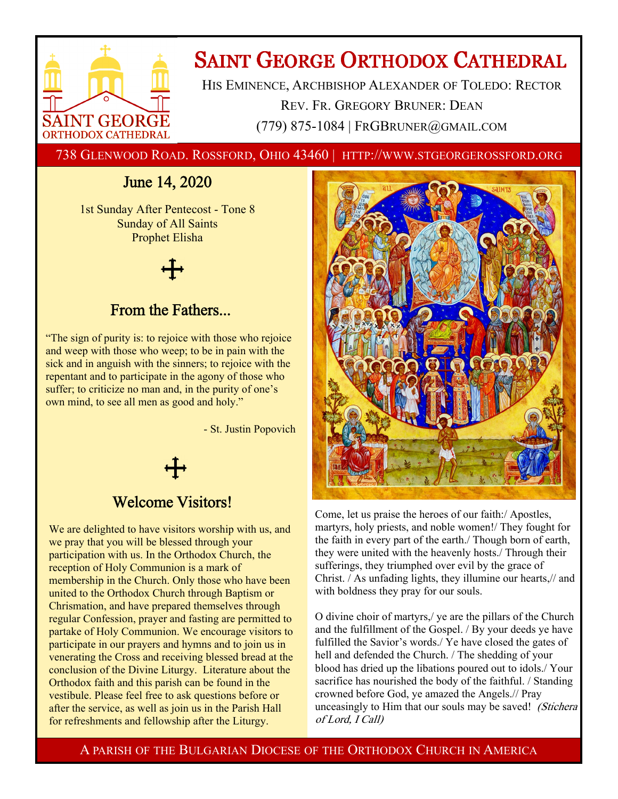

# **SAINT GEORGE ORTHODOX CATHEDRAL**

HIS EMINENCE, ARCHBISHOP ALEXANDER OF TOLEDO: RECTOR REV. FR. GREGORY BRUNER: DEAN (779) 875-1084 | FRGBRUNER@GMAIL.COM

738 GLENWOOD ROAD. ROSSFORD, OHIO 43460 | HTTP://WWW.STGEORGEROSSFORD.ORG

## June 14, 2020

1st Sunday After Pentecost - Tone 8 Sunday of All Saints Prophet Elisha

### From the Fathers...

"The sign of purity is: to rejoice with those who rejoice and weep with those who weep; to be in pain with the sick and in anguish with the sinners; to rejoice with the repentant and to participate in the agony of those who suffer; to criticize no man and, in the purity of one's own mind, to see all men as good and holy."

- St. Justin Popovich

### Welcome Visitors!

We are delighted to have visitors worship with us, and we pray that you will be blessed through your participation with us. In the Orthodox Church, the reception of Holy Communion is a mark of membership in the Church. Only those who have been united to the Orthodox Church through Baptism or Chrismation, and have prepared themselves through regular Confession, prayer and fasting are permitted to partake of Holy Communion. We encourage visitors to participate in our prayers and hymns and to join us in venerating the Cross and receiving blessed bread at the conclusion of the Divine Liturgy. Literature about the Orthodox faith and this parish can be found in the vestibule. Please feel free to ask questions before or after the service, as well as join us in the Parish Hall for refreshments and fellowship after the Liturgy.



Come, let us praise the heroes of our faith:/ Apostles, martyrs, holy priests, and noble women!/ They fought for the faith in every part of the earth./ Though born of earth, they were united with the heavenly hosts./ Through their sufferings, they triumphed over evil by the grace of Christ. / As unfading lights, they illumine our hearts,// and with boldness they pray for our souls.

O divine choir of martyrs,/ ye are the pillars of the Church and the fulfillment of the Gospel. / By your deeds ye have fulfilled the Savior's words./ Ye have closed the gates of hell and defended the Church. / The shedding of your blood has dried up the libations poured out to idols./ Your sacrifice has nourished the body of the faithful. / Standing crowned before God, ye amazed the Angels.// Pray unceasingly to Him that our souls may be saved! (Stichera) of Lord, I Call)

A PARISH OF THE BULGARIAN DIOCESE OF THE ORTHODOX CHURCH IN AMERICA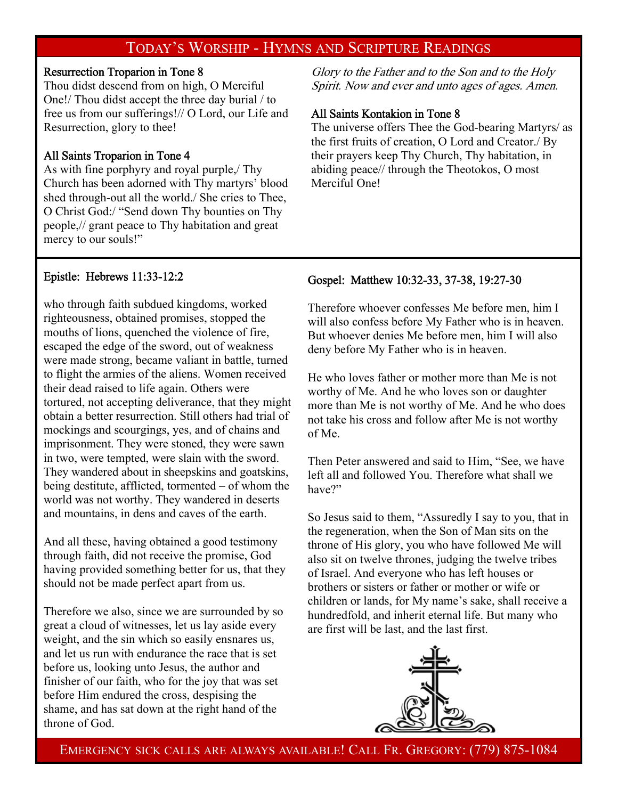### TODAY'S WORSHIP - HYMNS AND SCRIPTURE READINGS

### Resurrection Troparion in Tone 8

Thou didst descend from on high, O Merciful One!/ Thou didst accept the three day burial / to free us from our sufferings!// O Lord, our Life and Resurrection, glory to thee!

### All Saints Troparion in Tone 4

As with fine porphyry and royal purple,/ Thy Church has been adorned with Thy martyrs' blood shed through-out all the world./ She cries to Thee, O Christ God:/ "Send down Thy bounties on Thy people,// grant peace to Thy habitation and great mercy to our souls!"

Glory to the Father and to the Son and to the Holy Spirit. Now and ever and unto ages of ages. Amen.

### All Saints Kontakion in Tone 8

The universe offers Thee the God-bearing Martyrs/ as the first fruits of creation, O Lord and Creator./ By their prayers keep Thy Church, Thy habitation, in abiding peace// through the Theotokos, O most Merciful One!

### Epistle: Hebrews 11:33-12:2

who through faith subdued kingdoms, worked righteousness, obtained promises, stopped the mouths of lions, quenched the violence of fire, escaped the edge of the sword, out of weakness were made strong, became valiant in battle, turned to flight the armies of the aliens. Women received their dead raised to life again. Others were tortured, not accepting deliverance, that they might obtain a better resurrection. Still others had trial of mockings and scourgings, yes, and of chains and imprisonment. They were stoned, they were sawn in two, were tempted, were slain with the sword. They wandered about in sheepskins and goatskins, being destitute, afflicted, tormented – of whom the world was not worthy. They wandered in deserts and mountains, in dens and caves of the earth.

And all these, having obtained a good testimony through faith, did not receive the promise, God having provided something better for us, that they should not be made perfect apart from us.

Therefore we also, since we are surrounded by so great a cloud of witnesses, let us lay aside every weight, and the sin which so easily ensnares us, and let us run with endurance the race that is set before us, looking unto Jesus, the author and finisher of our faith, who for the joy that was set before Him endured the cross, despising the shame, and has sat down at the right hand of the throne of God.

### Gospel: Matthew 10:32-33, 37-38, 19:27-30

Therefore whoever confesses Me before men, him I will also confess before My Father who is in heaven. But whoever denies Me before men, him I will also deny before My Father who is in heaven.

He who loves father or mother more than Me is not worthy of Me. And he who loves son or daughter more than Me is not worthy of Me. And he who does not take his cross and follow after Me is not worthy of Me.

Then Peter answered and said to Him, "See, we have left all and followed You. Therefore what shall we have?"

So Jesus said to them, "Assuredly I say to you, that in the regeneration, when the Son of Man sits on the throne of His glory, you who have followed Me will also sit on twelve thrones, judging the twelve tribes of Israel. And everyone who has left houses or brothers or sisters or father or mother or wife or children or lands, for My name's sake, shall receive a hundredfold, and inherit eternal life. But many who are first will be last, and the last first.



EMERGENCY SICK CALLS ARE ALWAYS AVAILABLE! CALL FR. GREGORY: (779) 875-1084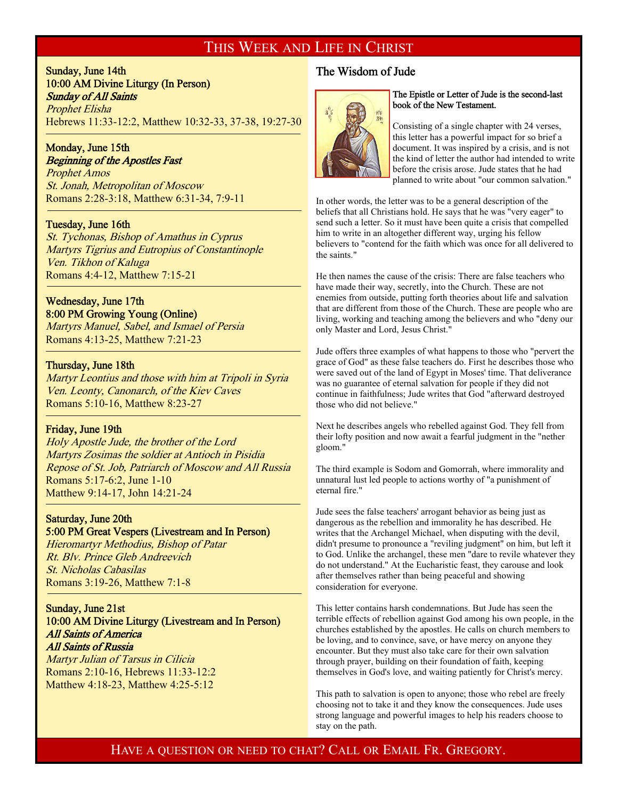### THIS WEEK AND LIFE IN CHRIST

### Sunday, June 14th 10:00 AM Divine Liturgy (In Person) Sunday of All Saints Prophet Elisha Hebrews 11:33-12:2, Matthew 10:32-33, 37-38, 19:27-30

### Monday, June 15th Beginning of the Apostles Fast

Prophet Amos St. Jonah, Metropolitan of Moscow Romans 2:28-3:18, Matthew 6:31-34, 7:9-11

### Tuesday, June 16th

f

<sup>-</sup>

-

St. Tychonas, Bishop of Amathus in Cyprus Martyrs Tigrius and Eutropius of Constantinople Ven. Tikhon of Kaluga Romans 4:4-12, Matthew 7:15-21

### Wednesday, June 17th

8:00 PM Growing Young (Online) Martyrs Manuel, Sabel, and Ismael of Persia Romans 4:13-25, Matthew 7:21-23

### Thursday, June 18th

Martyr Leontius and those with him at Tripoli in Syria Ven. Leonty, Canonarch, of the Kiev Caves Romans 5:10-16, Matthew 8:23-27

#### Friday, June 19th

Holy Apostle Jude, the brother of the Lord Martyrs Zosimas the soldier at Antioch in Pisidia Repose of St. Job, Patriarch of Moscow and All Russia Romans 5:17-6:2, June 1-10 Matthew 9:14-17, John 14:21-24

#### Saturday, June 20th 5:00 PM Great Vespers (Livestream and In Person)

Hieromartyr Methodius, Bishop of Patar Rt. Blv. Prince Gleb Andreevich St. Nicholas Cabasilas Romans 3:19-26, Matthew 7:1-8

### Sunday, June 21st 10:00 AM Divine Liturgy (Livestream and In Person) All Saints of America All Saints of Russia

Martyr Julian of Tarsus in Cilicia Romans 2:10-16, Hebrews 11:33-12:2 Matthew 4:18-23, Matthew 4:25-5:12

### The Wisdom of Jude



#### The Epistle or Letter of Jude is the second-last book of the New Testament.

Consisting of a single chapter with 24 verses, this letter has a powerful impact for so brief a document. It was inspired by a crisis, and is not the kind of letter the author had intended to write before the crisis arose. Jude states that he had planned to write about "our common salvation."

In other words, the letter was to be a general description of the beliefs that all Christians hold. He says that he was "very eager" to send such a letter. So it must have been quite a crisis that compelled him to write in an altogether different way, urging his fellow believers to "contend for the faith which was once for all delivered to the saints."

He then names the cause of the crisis: There are false teachers who have made their way, secretly, into the Church. These are not enemies from outside, putting forth theories about life and salvation that are different from those of the Church. These are people who are living, working and teaching among the believers and who "deny our only Master and Lord, Jesus Christ."

Jude offers three examples of what happens to those who "pervert the grace of God" as these false teachers do. First he describes those who were saved out of the land of Egypt in Moses' time. That deliverance was no guarantee of eternal salvation for people if they did not continue in faithfulness; Jude writes that God "afterward destroyed those who did not believe."

Next he describes angels who rebelled against God. They fell from their lofty position and now await a fearful judgment in the "nether gloom."

The third example is Sodom and Gomorrah, where immorality and unnatural lust led people to actions worthy of "a punishment of eternal fire."

Jude sees the false teachers' arrogant behavior as being just as dangerous as the rebellion and immorality he has described. He writes that the Archangel Michael, when disputing with the devil, didn't presume to pronounce a "reviling judgment" on him, but left it to God. Unlike the archangel, these men "dare to revile whatever they do not understand." At the Eucharistic feast, they carouse and look after themselves rather than being peaceful and showing consideration for everyone.

This letter contains harsh condemnations. But Jude has seen the terrible effects of rebellion against God among his own people, in the churches established by the apostles. He calls on church members to be loving, and to convince, save, or have mercy on anyone they encounter. But they must also take care for their own salvation through prayer, building on their foundation of faith, keeping themselves in God's love, and waiting patiently for Christ's mercy.

This path to salvation is open to anyone; those who rebel are freely choosing not to take it and they know the consequences. Jude uses strong language and powerful images to help his readers choose to stay on the path.

### HAVE A QUESTION OR NEED TO CHAT? CALL OR EMAIL FR. GREGORY.